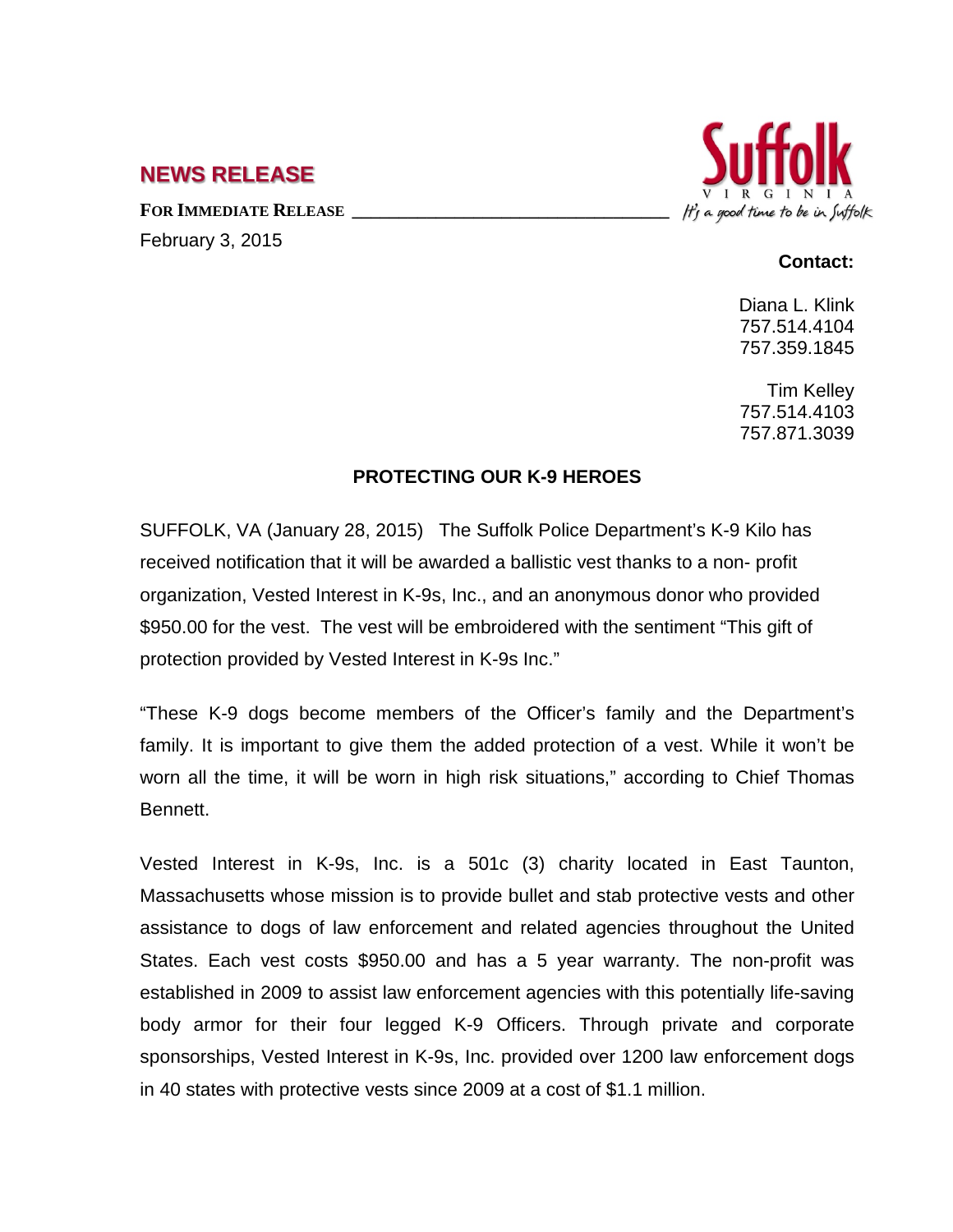## **NEWS RELEASE**

FOR **IMMEDIATE RELEASE** February 3, 2015



## **Contact:**

Diana L. Klink 757.514.4104 757.359.1845

Tim Kelley 757.514.4103 757.871.3039

## **PROTECTING OUR K-9 HEROES**

SUFFOLK, VA (January 28, 2015) The Suffolk Police Department's K-9 Kilo has received notification that it will be awarded a ballistic vest thanks to a non- profit organization, Vested Interest in K-9s, Inc., and an anonymous donor who provided \$950.00 for the vest. The vest will be embroidered with the sentiment "This gift of protection provided by Vested Interest in K-9s Inc."

"These K-9 dogs become members of the Officer's family and the Department's family. It is important to give them the added protection of a vest. While it won't be worn all the time, it will be worn in high risk situations," according to Chief Thomas Bennett.

Vested Interest in K-9s, Inc. is a 501c (3) charity located in East Taunton, Massachusetts whose mission is to provide bullet and stab protective vests and other assistance to dogs of law enforcement and related agencies throughout the United States. Each vest costs \$950.00 and has a 5 year warranty. The non-profit was established in 2009 to assist law enforcement agencies with this potentially life-saving body armor for their four legged K-9 Officers. Through private and corporate sponsorships, Vested Interest in K-9s, Inc. provided over 1200 law enforcement dogs in 40 states with protective vests since 2009 at a cost of \$1.1 million.